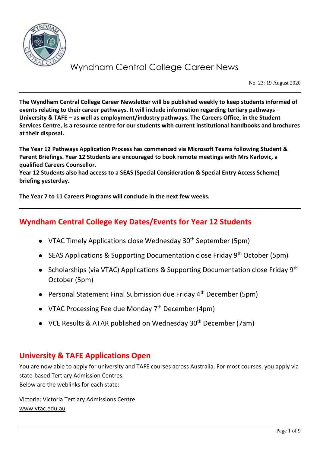

No. 23: 19 August 2020

**The Wyndham Central College Career Newsletter will be published weekly to keep students informed of events relating to their career pathways. It will include information regarding tertiary pathways – University & TAFE – as well as employment/industry pathways. The Careers Office, in the Student Services Centre, is a resource centre for our students with current institutional handbooks and brochures at their disposal.**

**The Year 12 Pathways Application Process has commenced via Microsoft Teams following Student & Parent Briefings. Year 12 Students are encouraged to book remote meetings with Mrs Karlovic, a qualified Careers Counsellor.**

**Year 12 Students also had access to a SEAS (Special Consideration & Special Entry Access Scheme) briefing yesterday.** 

**The Year 7 to 11 Careers Programs will conclude in the next few weeks.**

## **Wyndham Central College Key Dates/Events for Year 12 Students**

- VTAC Timely Applications close Wednesday  $30<sup>th</sup>$  September (5pm)
- SEAS Applications & Supporting Documentation close Friday  $9<sup>th</sup>$  October (5pm)
- Scholarships (via VTAC) Applications & Supporting Documentation close Friday 9<sup>th</sup> October (5pm)
- Personal Statement Final Submission due Friday 4<sup>th</sup> December (5pm)
- VTAC Processing Fee due Monday  $7<sup>th</sup>$  December (4pm)
- VCE Results & ATAR published on Wednesday 30<sup>th</sup> December (7am)

## **University & TAFE Applications Open**

You are now able to apply for university and TAFE courses across Australia. For most courses, you apply via state-based Tertiary Admission Centres. Below are the weblinks for each state:

Victoria: Victoria Tertiary Admissions Centre [www.vtac.edu.au](http://www.vtac.edu.au/)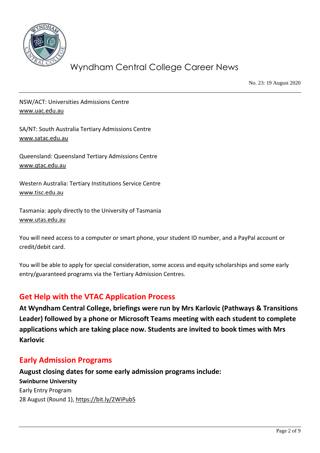

No. 23: 19 August 2020

NSW/ACT: Universities Admissions Centre [www.uac.edu.au](http://www.uac.edu.au/)

SA/NT: South Australia Tertiary Admissions Centre [www.satac.edu.au](http://www.satac.edu.au/)

Queensland: Queensland Tertiary Admissions Centre [www.qtac.edu.au](http://www.qtac.edu.au/)

Western Australia: Tertiary Institutions Service Centre [www.tisc.edu.au](http://www.tisc.edu.au/)

Tasmania: apply directly to the University of Tasmania [www.utas.edu.au](http://www.utas.edu.au/)

You will need access to a computer or smart phone, your student ID number, and a PayPal account or credit/debit card.

You will be able to apply for special consideration, some access and equity scholarships and some early entry/guaranteed programs via the Tertiary Admission Centres.

## **Get Help with the VTAC Application Process**

**At Wyndham Central College, briefings were run by Mrs Karlovic (Pathways & Transitions Leader) followed by a phone or Microsoft Teams meeting with each student to complete applications which are taking place now. Students are invited to book times with Mrs Karlovic**

## **Early Admission Programs**

**August closing dates for some early admission programs include: Swinburne University** Early Entry Program 28 August (Round 1),<https://bit.ly/2WiPub5>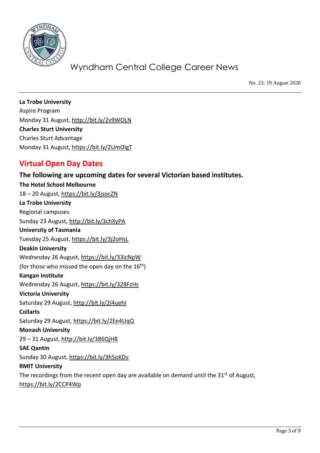

No. 23: 19 August 2020

**La Trobe University** Aspire Program Monday 31 August,<http://bit.ly/2v9WOLN> **Charles Sturt University** Charles Sturt Advantage Monday 31 August,<https://bit.ly/2UmOlgT>

## **Virtual Open Day Dates**

### **The following are upcoming dates for several Victorian based institutes.**

**The Hotel School Melbourne** 18 – 20 August,<https://bit.ly/3jsocZN> **La Trobe University** Regional campuses Sunday 23 August,<http://bit.ly/3chXyPA> **University of Tasmania** Tuesday 25 August,<https://bit.ly/3j2oHsL> **Deakin University** Wednesday 26 August,<https://bit.ly/33icNpW> (for those who missed the open day on the  $16<sup>th</sup>$ ) **Kangan Institute** Wednesday 26 August,<https://bit.ly/328FzHs> **Victoria University** Saturday 29 August, http://bit.ly/2I4uehl **Collarts** Saturday 29 August,<https://bit.ly/2Ee4UqQ> **Monash University** 29 – 31 August,<http://bit.ly/386QjH8> **SAE Qantm** Sunday 30 August,<https://bit.ly/3h5oKDv> **RMIT University** The recordings from the recent open day are available on demand until the  $31<sup>st</sup>$  of August, <https://bit.ly/2CCP4Wp>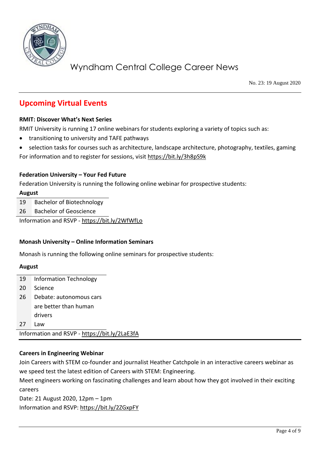

No. 23: 19 August 2020

## **Upcoming Virtual Events**

#### **RMIT: Discover What's Next Series**

RMIT University is running 17 online webinars for students exploring a variety of topics such as:

- transitioning to university and TAFE pathways
- selection tasks for courses such as architecture, landscape architecture, photography, textiles, gaming

For information and to register for sessions, visit<https://bit.ly/3h8pS9k>

#### **Federation University – Your Fed Future**

Federation University is running the following online webinar for prospective students:

#### **August**

19 Bachelor of Biotechnology

26 Bachelor of Geoscience

Information and RSVP - <https://bit.ly/2WfWfLo>

#### **Monash University – Online Information Seminars**

Monash is running the following online seminars for prospective students:

#### **August**

| 19                                            | <b>Information Technology</b> |  |
|-----------------------------------------------|-------------------------------|--|
| 20                                            | Science                       |  |
| 26                                            | Debate: autonomous cars       |  |
|                                               | are better than human         |  |
|                                               | drivers                       |  |
| 27                                            | Law                           |  |
| Information and RSVP - https://bit.ly/2LaE3fA |                               |  |

#### **Careers in Engineering Webinar**

Join Careers with STEM co-founder and journalist Heather Catchpole in an interactive careers webinar as we speed test the latest edition of Careers with STEM: Engineering.

Meet engineers working on fascinating challenges and learn about how they got involved in their exciting careers

Date: 21 August 2020, 12pm – 1pm Information and RSVP:<https://bit.ly/2ZGxpFY>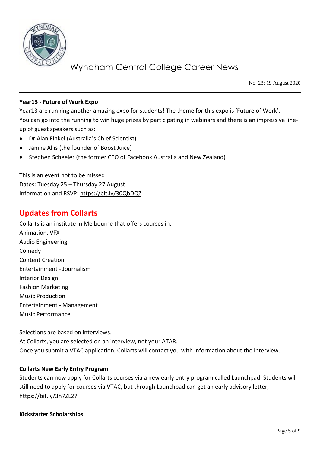

No. 23: 19 August 2020

#### **Year13 - Future of Work Expo**

Year13 are running another amazing expo for students! The theme for this expo is 'Future of Work'. You can go into the running to win huge prizes by participating in webinars and there is an impressive lineup of guest speakers such as:

- Dr Alan Finkel (Australia's Chief Scientist)
- Janine Allis (the founder of Boost Juice)
- Stephen Scheeler (the former CEO of Facebook Australia and New Zealand)

This is an event not to be missed! Dates: Tuesday 25 – Thursday 27 August Information and RSVP:<https://bit.ly/30QbDQZ>

## **Updates from Collarts**

Collarts is an institute in Melbourne that offers courses in: Animation, VFX Audio Engineering Comedy Content Creation Entertainment - Journalism Interior Design Fashion Marketing Music Production Entertainment - Management Music Performance

Selections are based on interviews.

At Collarts, you are selected on an interview, not your ATAR. Once you submit a VTAC application, Collarts will contact you with information about the interview.

#### **Collarts New Early Entry Program**

Students can now apply for Collarts courses via a new early entry program called Launchpad. Students will still need to apply for courses via VTAC, but through Launchpad can get an early advisory letter, <https://bit.ly/3h7ZL27>

#### **Kickstarter Scholarships**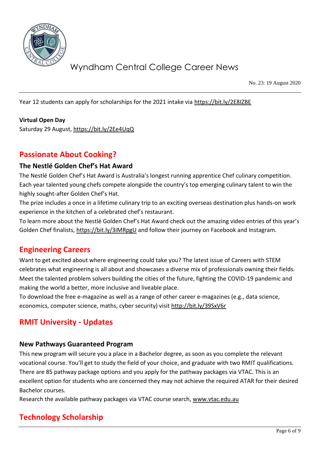

No. 23: 19 August 2020

Year 12 students can apply for scholarships for the 2021 intake via<https://bit.ly/2E8IZBE>

#### **Virtual Open Day**

Saturday 29 August,<https://bit.ly/2Ee4UqQ>

### **Passionate About Cooking?**

#### **The Nestlé Golden Chef's Hat Award**

The Nestlé Golden Chef's Hat Award is Australia's longest running apprentice Chef culinary competition. Each year talented young chefs compete alongside the country's top emerging culinary talent to win the highly sought-after Golden Chef's Hat.

The prize includes a once in a lifetime culinary trip to an exciting overseas destination plus hands-on work experience in the kitchen of a celebrated chef's restaurant.

To learn more about the Nestlé Golden Chef's Hat Award check out the amazing video entries of this year's Golden Chef finalists,<https://bit.ly/3iMRpgU> and follow their journey on Facebook and Instagram.

### **Engineering Careers**

Want to get excited about where engineering could take you? The latest issue of Careers with STEM celebrates what engineering is all about and showcases a diverse mix of professionals owning their fields. Meet the talented problem solvers building the cities of the future, fighting the COVID-19 pandemic and making the world a better, more inclusive and liveable place.

To download the free e-magazine as well as a range of other career e-magazines (e.g., data science, economics, computer science, maths, cyber security) visit<http://bit.ly/39SxV6r>

### **RMIT University - Updates**

#### **New Pathways Guaranteed Program**

This new program will secure you a place in a Bachelor degree, as soon as you complete the relevant vocational course. You'll get to study the field of your choice, and graduate with two RMIT qualifications. There are 85 pathway package options and you apply for the pathway packages via VTAC. This is an excellent option for students who are concerned they may not achieve the required ATAR for their desired Bachelor courses.

Research the available pathway packages via VTAC course search, [www.vtac.edu.au](http://www.vtac.edu.au/)

## **Technology Scholarship**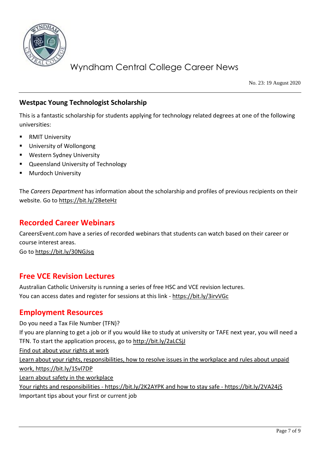

No. 23: 19 August 2020

### **Westpac Young Technologist Scholarship**

This is a fantastic scholarship for students applying for technology related degrees at one of the following universities:

- **RMIT University**
- University of Wollongong
- Western Sydney University
- Queensland University of Technology
- **Murdoch University**

The *Careers Department* has information about the scholarship and profiles of previous recipients on their website. Go t[o https://bit.ly/2BeteHz](https://bit.ly/2BeteHz) 

### **Recorded Career Webinars**

CareersEvent.com have a series of recorded webinars that students can watch based on their career or course interest areas.

Go t[o https://bit.ly/30NGJsq](https://bit.ly/30NGJsq)

### **Free VCE Revision Lectures**

Australian Catholic University is running a series of free HSC and VCE revision lectures. You can access dates and register for sessions at this link - <https://bit.ly/3irvVGc>

### **Employment Resources**

Do you need a Tax File Number (TFN)? If you are planning to get a job or if you would like to study at university or TAFE next year, you will need a TFN. To start the application process, go to<http://bit.ly/2aLCSjJ> Find out about your rights at work Learn about your rights, responsibilities, how to resolve issues in the workplace and rules about unpaid work,<https://bit.ly/1Svl7DP> Learn about safety in the workplace Your rights and responsibilities - <https://bit.ly/2K2AYPK> and how to stay safe - <https://bit.ly/2VA24j5> Important tips about your first or current job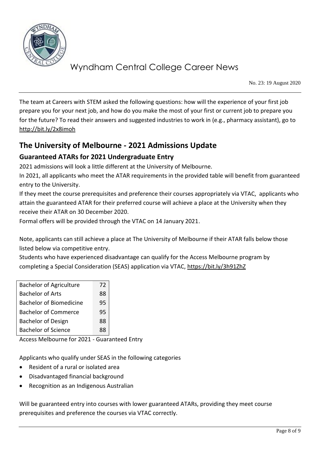

No. 23: 19 August 2020

The team at Careers with STEM asked the following questions: how will the experience of your first job prepare you for your next job, and how do you make the most of your first or current job to prepare you for the future? To read their answers and suggested industries to work in (e.g., pharmacy assistant), go to <http://bit.ly/2x8imoh>

## **The University of Melbourne - 2021 Admissions Update**

### **Guaranteed ATARs for 2021 Undergraduate Entry**

2021 admissions will look a little different at the University of Melbourne.

In 2021, all applicants who meet the ATAR requirements in the provided table will benefit from guaranteed entry to the University.

If they meet the course prerequisites and preference their courses appropriately via VTAC, applicants who attain the guaranteed ATAR for their preferred course will achieve a place at the University when they receive their ATAR on 30 December 2020.

Formal offers will be provided through the VTAC on 14 January 2021.

Note, applicants can still achieve a place at The University of Melbourne if their ATAR falls below those listed below via competitive entry.

Students who have experienced disadvantage can qualify for the Access Melbourne program by completing a Special Consideration (SEAS) application via VTAC,<https://bit.ly/3h91ZhZ>

| <b>Bachelor of Agriculture</b> | 72 |
|--------------------------------|----|
| <b>Bachelor of Arts</b>        | 88 |
| <b>Bachelor of Biomedicine</b> | 95 |
| <b>Bachelor of Commerce</b>    | 95 |
| <b>Bachelor of Design</b>      | 88 |
| <b>Bachelor of Science</b>     | RЯ |

Access Melbourne for 2021 - Guaranteed Entry

Applicants who qualify under SEAS in the following categories

- Resident of a rural or isolated area
- Disadvantaged financial background
- Recognition as an Indigenous Australian

Will be guaranteed entry into courses with lower guaranteed ATARs, providing they meet course prerequisites and preference the courses via VTAC correctly.